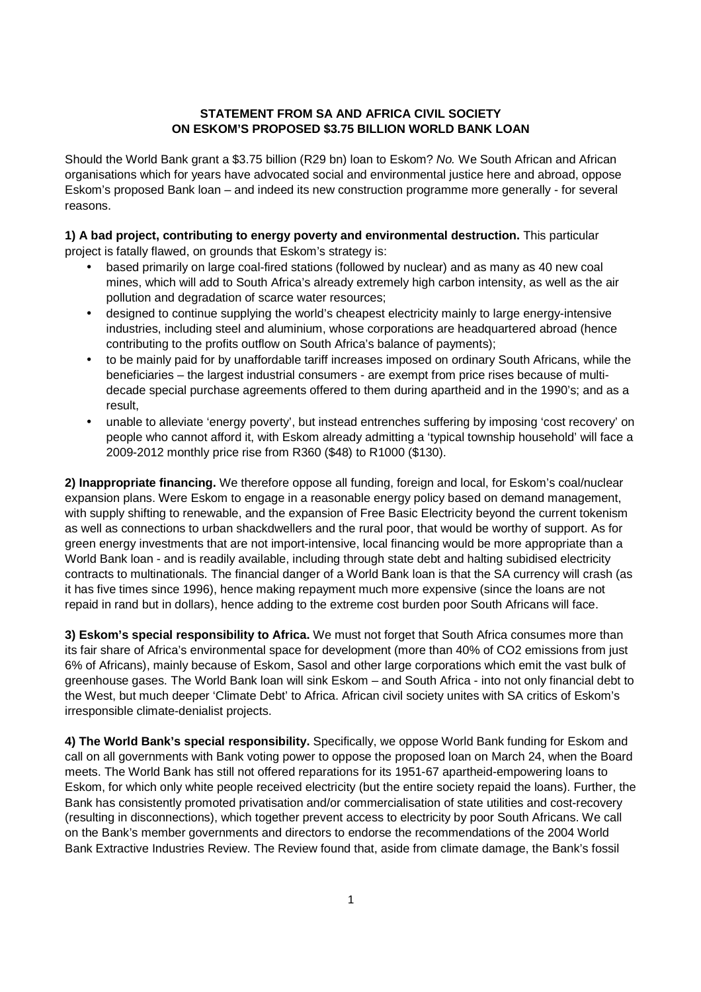## **STATEMENT FROM SA AND AFRICA CIVIL SOCIETY ON ESKOM'S PROPOSED \$3.75 BILLION WORLD BANK LOAN**

Should the World Bank grant a \$3.75 billion (R29 bn) loan to Eskom? No. We South African and African organisations which for years have advocated social and environmental justice here and abroad, oppose Eskom's proposed Bank loan – and indeed its new construction programme more generally - for several reasons.

**1) A bad project, contributing to energy poverty and environmental destruction.** This particular project is fatally flawed, on grounds that Eskom's strategy is:

- based primarily on large coal-fired stations (followed by nuclear) and as many as 40 new coal mines, which will add to South Africa's already extremely high carbon intensity, as well as the air pollution and degradation of scarce water resources;
- designed to continue supplying the world's cheapest electricity mainly to large energy-intensive industries, including steel and aluminium, whose corporations are headquartered abroad (hence contributing to the profits outflow on South Africa's balance of payments);
- to be mainly paid for by unaffordable tariff increases imposed on ordinary South Africans, while the beneficiaries – the largest industrial consumers - are exempt from price rises because of multidecade special purchase agreements offered to them during apartheid and in the 1990's; and as a result,
- unable to alleviate 'energy poverty', but instead entrenches suffering by imposing 'cost recovery' on people who cannot afford it, with Eskom already admitting a 'typical township household' will face a 2009-2012 monthly price rise from R360 (\$48) to R1000 (\$130).

**2) Inappropriate financing.** We therefore oppose all funding, foreign and local, for Eskom's coal/nuclear expansion plans. Were Eskom to engage in a reasonable energy policy based on demand management, with supply shifting to renewable, and the expansion of Free Basic Electricity beyond the current tokenism as well as connections to urban shackdwellers and the rural poor, that would be worthy of support. As for green energy investments that are not import-intensive, local financing would be more appropriate than a World Bank loan - and is readily available, including through state debt and halting subidised electricity contracts to multinationals. The financial danger of a World Bank loan is that the SA currency will crash (as it has five times since 1996), hence making repayment much more expensive (since the loans are not repaid in rand but in dollars), hence adding to the extreme cost burden poor South Africans will face.

**3) Eskom's special responsibility to Africa.** We must not forget that South Africa consumes more than its fair share of Africa's environmental space for development (more than 40% of CO2 emissions from just 6% of Africans), mainly because of Eskom, Sasol and other large corporations which emit the vast bulk of greenhouse gases. The World Bank loan will sink Eskom – and South Africa - into not only financial debt to the West, but much deeper 'Climate Debt' to Africa. African civil society unites with SA critics of Eskom's irresponsible climate-denialist projects.

**4) The World Bank's special responsibility.** Specifically, we oppose World Bank funding for Eskom and call on all governments with Bank voting power to oppose the proposed loan on March 24, when the Board meets. The World Bank has still not offered reparations for its 1951-67 apartheid-empowering loans to Eskom, for which only white people received electricity (but the entire society repaid the loans). Further, the Bank has consistently promoted privatisation and/or commercialisation of state utilities and cost-recovery (resulting in disconnections), which together prevent access to electricity by poor South Africans. We call on the Bank's member governments and directors to endorse the recommendations of the 2004 World Bank Extractive Industries Review. The Review found that, aside from climate damage, the Bank's fossil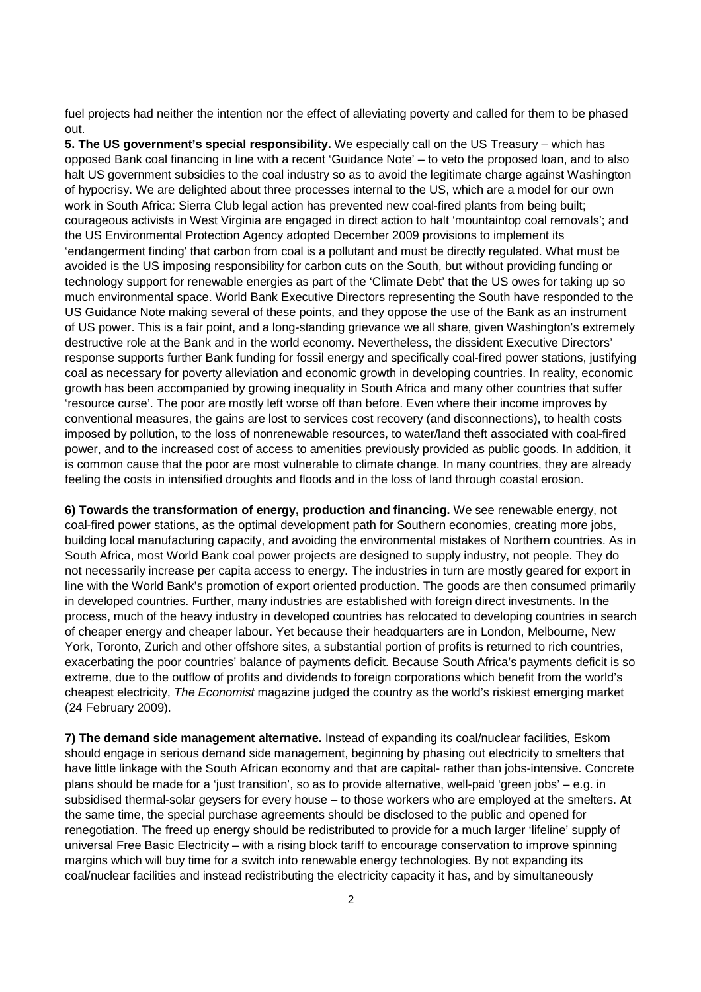fuel projects had neither the intention nor the effect of alleviating poverty and called for them to be phased out.

**5. The US government's special responsibility.** We especially call on the US Treasury – which has opposed Bank coal financing in line with a recent 'Guidance Note' – to veto the proposed loan, and to also halt US government subsidies to the coal industry so as to avoid the legitimate charge against Washington of hypocrisy. We are delighted about three processes internal to the US, which are a model for our own work in South Africa: Sierra Club legal action has prevented new coal-fired plants from being built; courageous activists in West Virginia are engaged in direct action to halt 'mountaintop coal removals'; and the US Environmental Protection Agency adopted December 2009 provisions to implement its 'endangerment finding' that carbon from coal is a pollutant and must be directly regulated. What must be avoided is the US imposing responsibility for carbon cuts on the South, but without providing funding or technology support for renewable energies as part of the 'Climate Debt' that the US owes for taking up so much environmental space. World Bank Executive Directors representing the South have responded to the US Guidance Note making several of these points, and they oppose the use of the Bank as an instrument of US power. This is a fair point, and a long-standing grievance we all share, given Washington's extremely destructive role at the Bank and in the world economy. Nevertheless, the dissident Executive Directors' response supports further Bank funding for fossil energy and specifically coal-fired power stations, justifying coal as necessary for poverty alleviation and economic growth in developing countries. In reality, economic growth has been accompanied by growing inequality in South Africa and many other countries that suffer 'resource curse'. The poor are mostly left worse off than before. Even where their income improves by conventional measures, the gains are lost to services cost recovery (and disconnections), to health costs imposed by pollution, to the loss of nonrenewable resources, to water/land theft associated with coal-fired power, and to the increased cost of access to amenities previously provided as public goods. In addition, it is common cause that the poor are most vulnerable to climate change. In many countries, they are already feeling the costs in intensified droughts and floods and in the loss of land through coastal erosion.

**6) Towards the transformation of energy, production and financing.** We see renewable energy, not coal-fired power stations, as the optimal development path for Southern economies, creating more jobs, building local manufacturing capacity, and avoiding the environmental mistakes of Northern countries. As in South Africa, most World Bank coal power projects are designed to supply industry, not people. They do not necessarily increase per capita access to energy. The industries in turn are mostly geared for export in line with the World Bank's promotion of export oriented production. The goods are then consumed primarily in developed countries. Further, many industries are established with foreign direct investments. In the process, much of the heavy industry in developed countries has relocated to developing countries in search of cheaper energy and cheaper labour. Yet because their headquarters are in London, Melbourne, New York, Toronto, Zurich and other offshore sites, a substantial portion of profits is returned to rich countries, exacerbating the poor countries' balance of payments deficit. Because South Africa's payments deficit is so extreme, due to the outflow of profits and dividends to foreign corporations which benefit from the world's cheapest electricity, The Economist magazine judged the country as the world's riskiest emerging market (24 February 2009).

**7) The demand side management alternative.** Instead of expanding its coal/nuclear facilities, Eskom should engage in serious demand side management, beginning by phasing out electricity to smelters that have little linkage with the South African economy and that are capital- rather than jobs-intensive. Concrete plans should be made for a 'just transition', so as to provide alternative, well-paid 'green jobs' – e.g. in subsidised thermal-solar geysers for every house – to those workers who are employed at the smelters. At the same time, the special purchase agreements should be disclosed to the public and opened for renegotiation. The freed up energy should be redistributed to provide for a much larger 'lifeline' supply of universal Free Basic Electricity – with a rising block tariff to encourage conservation to improve spinning margins which will buy time for a switch into renewable energy technologies. By not expanding its coal/nuclear facilities and instead redistributing the electricity capacity it has, and by simultaneously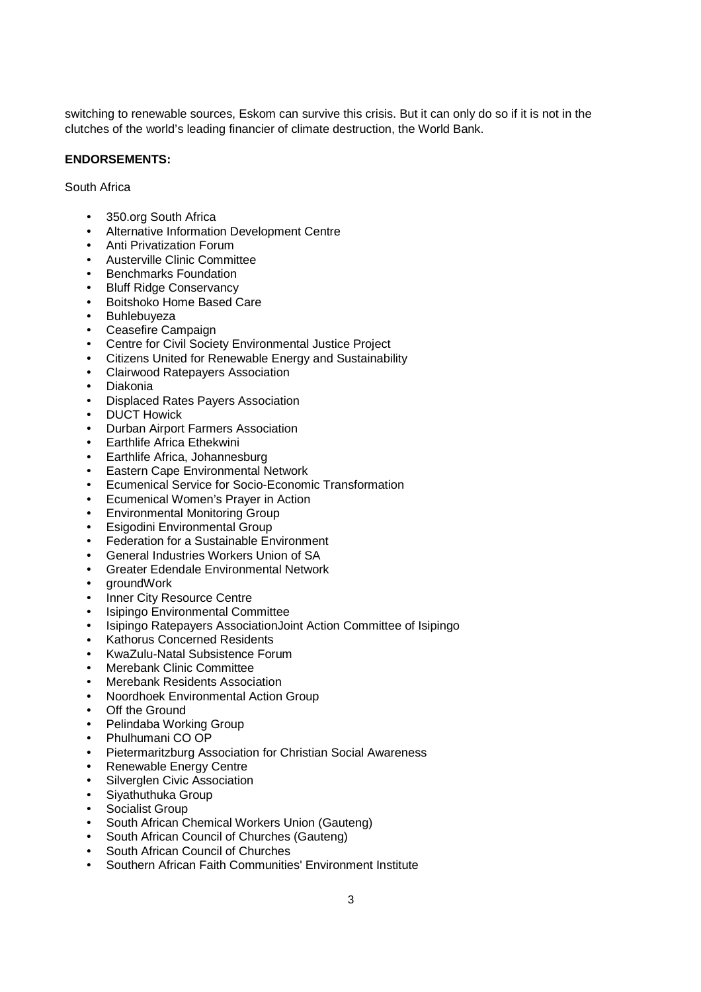switching to renewable sources, Eskom can survive this crisis. But it can only do so if it is not in the clutches of the world's leading financier of climate destruction, the World Bank.

## **ENDORSEMENTS:**

South Africa

- 350.org South Africa
- Alternative Information Development Centre
- Anti Privatization Forum
- Austerville Clinic Committee
- Benchmarks Foundation
- Bluff Ridge Conservancy
- Boitshoko Home Based Care
- Buhlebuyeza
- Ceasefire Campaign
- Centre for Civil Society Environmental Justice Project
- Citizens United for Renewable Energy and Sustainability
- Clairwood Ratepayers Association
- Diakonia
- Displaced Rates Payers Association
- DUCT Howick
- Durban Airport Farmers Association
- Earthlife Africa Ethekwini
- Earthlife Africa, Johannesburg
- Eastern Cape Environmental Network
- Ecumenical Service for Socio-Economic Transformation
- Ecumenical Women's Prayer in Action
- Environmental Monitoring Group
- Esigodini Environmental Group
- Federation for a Sustainable Environment
- General Industries Workers Union of SA
- Greater Edendale Environmental Network
- groundWork
- Inner City Resource Centre
- Isipingo Environmental Committee
- Isipingo Ratepayers AssociationJoint Action Committee of Isipingo
- Kathorus Concerned Residents
- KwaZulu-Natal Subsistence Forum
- Merebank Clinic Committee
- Merebank Residents Association
- Noordhoek Environmental Action Group
- **Off the Ground**
- Pelindaba Working Group
- Phulhumani CO OP
- Pietermaritzburg Association for Christian Social Awareness
- Renewable Energy Centre
- Silverglen Civic Association
- Siyathuthuka Group
- Socialist Group
- South African Chemical Workers Union (Gauteng)
- South African Council of Churches (Gauteng)
- South African Council of Churches
- Southern African Faith Communities' Environment Institute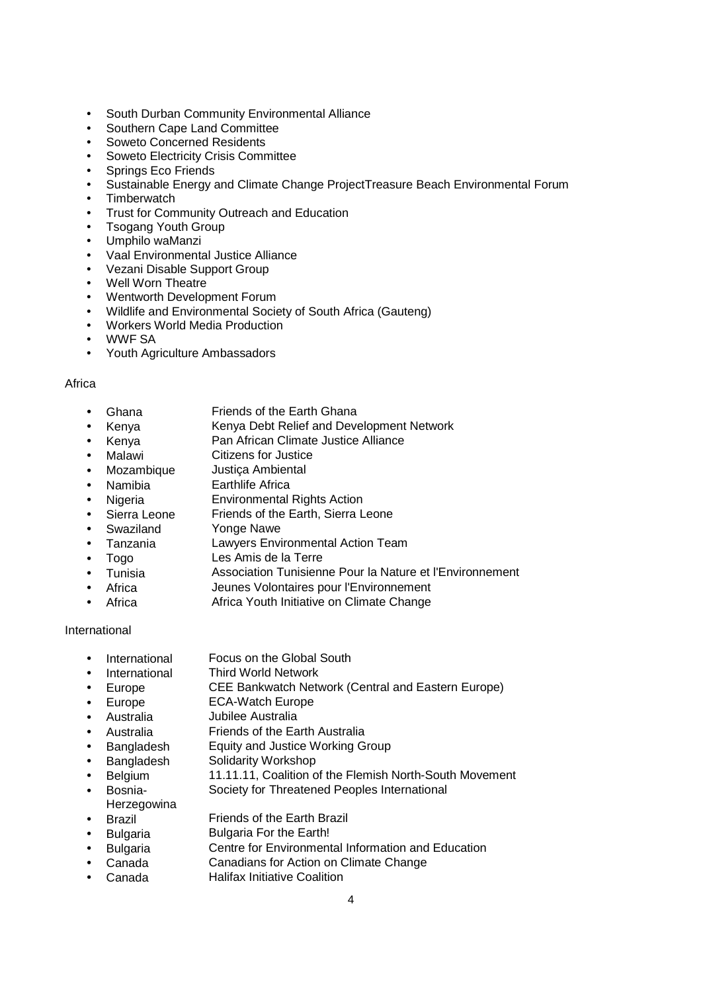- South Durban Community Environmental Alliance
- Southern Cape Land Committee
- Soweto Concerned Residents
- Soweto Electricity Crisis Committee
- Springs Eco Friends
- Sustainable Energy and Climate Change ProjectTreasure Beach Environmental Forum
- Timberwatch
- Trust for Community Outreach and Education
- Tsogang Youth Group
- Umphilo waManzi
- Vaal Environmental Justice Alliance
- Vezani Disable Support Group
- Well Worn Theatre
- Wentworth Development Forum
- Wildlife and Environmental Society of South Africa (Gauteng)
- Workers World Media Production
- WWF SA
- Youth Agriculture Ambassadors

## Africa

- Ghana Friends of the Earth Ghana
- Kenya Kenya Debt Relief and Development Network
- Kenya Pan African Climate Justice Alliance
- 
- **Malawi** Citizens for Justice<br>
Mozambique Justica Ambiental  $\bullet$  Mozambique
- Namibia Earthlife Africa
- Nigeria Environmental Rights Action
- Sierra Leone Friends of the Earth, Sierra Leone
- Swaziland Yonge Nawe
- Tanzania Lawyers Environmental Action Team
- Togo Les Amis de la Terre
- Tunisia Association Tunisienne Pour la Nature et l'Environnement
- Africa Jeunes Volontaires pour l'Environnement
- Africa **Africa Youth Initiative on Climate Change**

## International

- International Focus on the Global South
- International Third World Network
- Europe CEE Bankwatch Network (Central and Eastern Europe)
- Europe ECA-Watch Europe
- Australia Jubilee Australia
- Australia Friends of the Earth Australia
- Bangladesh Equity and Justice Working Group
- Bangladesh Solidarity Workshop
- Belgium 11.11.11, Coalition of the Flemish North-South Movement
- Bosnia-Society for Threatened Peoples International
- **Herzegowina**
- Brazil Friends of the Earth Brazil
- Bulgaria Bulgaria For the Earth!
- Bulgaria Centre for Environmental Information and Education
- Canada Canadians for Action on Climate Change
- Canada Halifax Initiative Coalition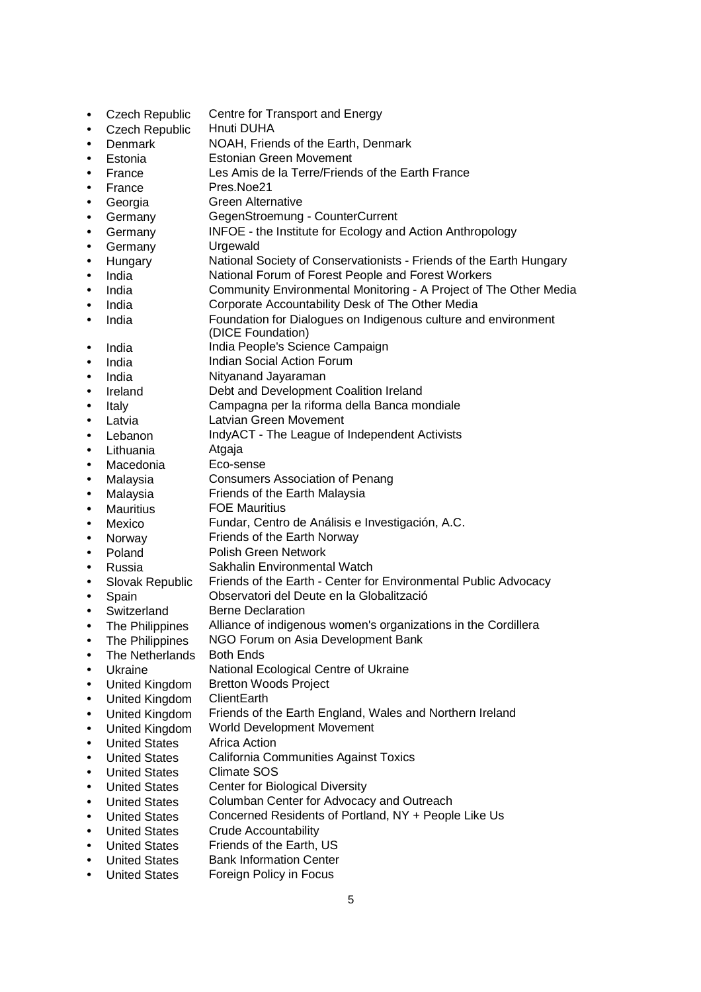- Czech Republic Centre for Transport and Energy
- Czech Republic Hnuti DUHA
- Denmark NOAH, Friends of the Earth, Denmark
- Estonia Estonian Green Movement
- France Les Amis de la Terre/Friends of the Earth France
- France Pres.Noe21
- Georgia Green Alternative
- Germany **GegenStroemung CounterCurrent**
- Germany INFOE the Institute for Ecology and Action Anthropology
- Germany Urgewald
- Hungary National Society of Conservationists Friends of the Earth Hungary
- India **National Forum of Forest People and Forest Workers**
- India Community Environmental Monitoring A Project of The Other Media
- India Corporate Accountability Desk of The Other Media
- India Foundation for Dialogues on Indigenous culture and environment (DICE Foundation)
- India **India People's Science Campaign**
- India **Indian Social Action Forum**
- India Nityanand Jayaraman
- Ireland Debt and Development Coalition Ireland
- Italy Campagna per la riforma della Banca mondiale
- Latvia **Latvian Green Movement**
- Lebanon IndyACT The League of Independent Activists
- 
- Lithuania Atgaja<br>Macedonia Eco-sense Macedonia
- Malaysia Consumers Association of Penang
- Malaysia Friends of the Earth Malaysia
- Mauritius **FOE Mauritius**
- Mexico Fundar, Centro de Análisis e Investigación, A.C.
- Norway Friends of the Earth Norway
- Poland Polish Green Network
- Russia Sakhalin Environmental Watch
- Slovak Republic Friends of the Earth Center for Environmental Public Advocacy
- Spain Observatori del Deute en la Globalització
- Switzerland Berne Declaration
- The Philippines Alliance of indigenous women's organizations in the Cordillera
- The Philippines NGO Forum on Asia Development Bank
- The Netherlands Both Ends
- Ukraine **National Ecological Centre of Ukraine**
- United Kingdom Bretton Woods Project
- United Kingdom ClientEarth
- United Kingdom Friends of the Earth England, Wales and Northern Ireland
- United Kingdom World Development Movement
- United States Africa Action
- United States California Communities Against Toxics
- **United States**
- United States Center for Biological Diversity
- United States Columban Center for Advocacy and Outreach
- United States Concerned Residents of Portland, NY + People Like Us
- United States Crude Accountability
- United States Friends of the Earth, US
- United States Bank Information Center
- United States Foreign Policy in Focus